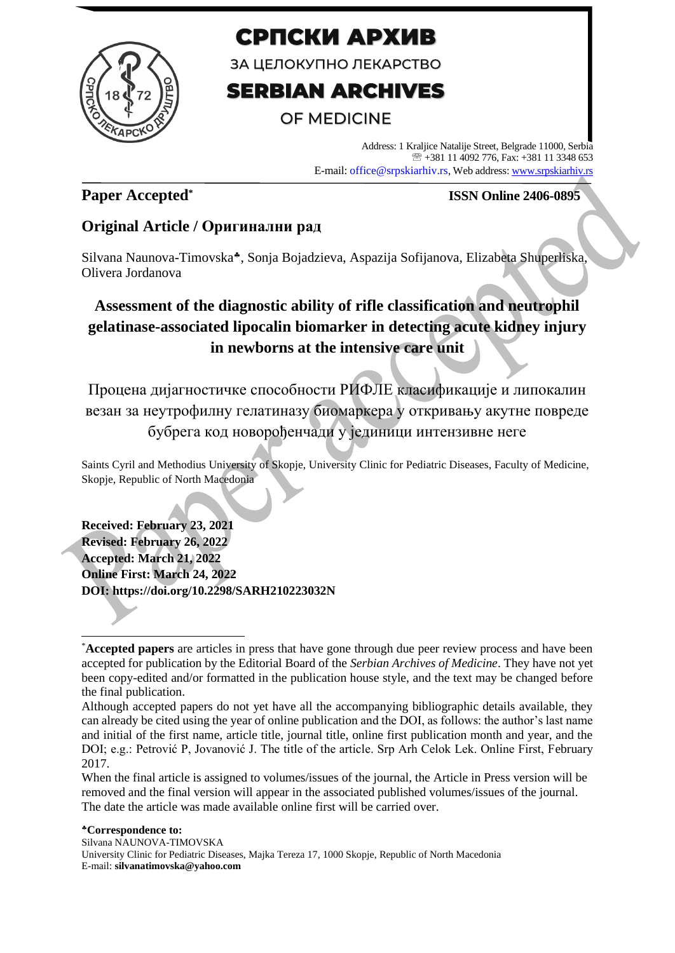

# СРПСКИ АРХИВ

ЗА ЦЕЛОКУПНО ЛЕКАРСТВО

# **SERBIAN ARCHIVES**

# OF MEDICINE

Address: 1 Kraljice Natalije Street, Belgrade 11000, Serbia +381 11 4092 776, Fax: +381 11 3348 653 E-mail: office@srpskiarhiv.rs, Web address[: www.srpskiarhiv.rs](http://www.srpskiarhiv.rs/)

## **Paper Accepted\***

### **ISSN Online 2406-0895**

### **Original Article / Оригинални рад**

Silvana Naunova-Timovska\*, Sonja Bojadzieva, Aspazija Sofijanova, Elizabeta Shuperliska, Olivera Jordanova

# **Assessment of the diagnostic ability of rifle classification and neutrophil gelatinase-associated lipocalin biomarker in detecting acute kidney injury in newborns at the intensive care unit**

Процена дијагностичке способности РИФЛЕ класификације и липокалин везан за неутрофилну гелатиназу биомаркера у откривању акутне повреде бубрега код новорођенчади у јединици интензивне неге

Saints Cyril and Methodius University of Skopje, University Clinic for Pediatric Diseases, Faculty of Medicine, Skopje, Republic of North Macedonia

**Received: February 23, 2021 Revised: February 26, 2022 Accepted: March 21, 2022 Online First: March 24, 2022 DOI: https://doi.org/10.2298/SARH210223032N**

<sup>\*</sup>**Accepted papers** are articles in press that have gone through due peer review process and have been accepted for publication by the Editorial Board of the *Serbian Archives of Medicine*. They have not yet been copy-edited and/or formatted in the publication house style, and the text may be changed before the final publication.

Although accepted papers do not yet have all the accompanying bibliographic details available, they can already be cited using the year of online publication and the DOI, as follows: the author's last name and initial of the first name, article title, journal title, online first publication month and year, and the DOI; e.g.: Petrović P, Jovanović J. The title of the article. Srp Arh Celok Lek. Online First, February 2017.

When the final article is assigned to volumes/issues of the journal, the Article in Press version will be removed and the final version will appear in the associated published volumes/issues of the journal. The date the article was made available online first will be carried over.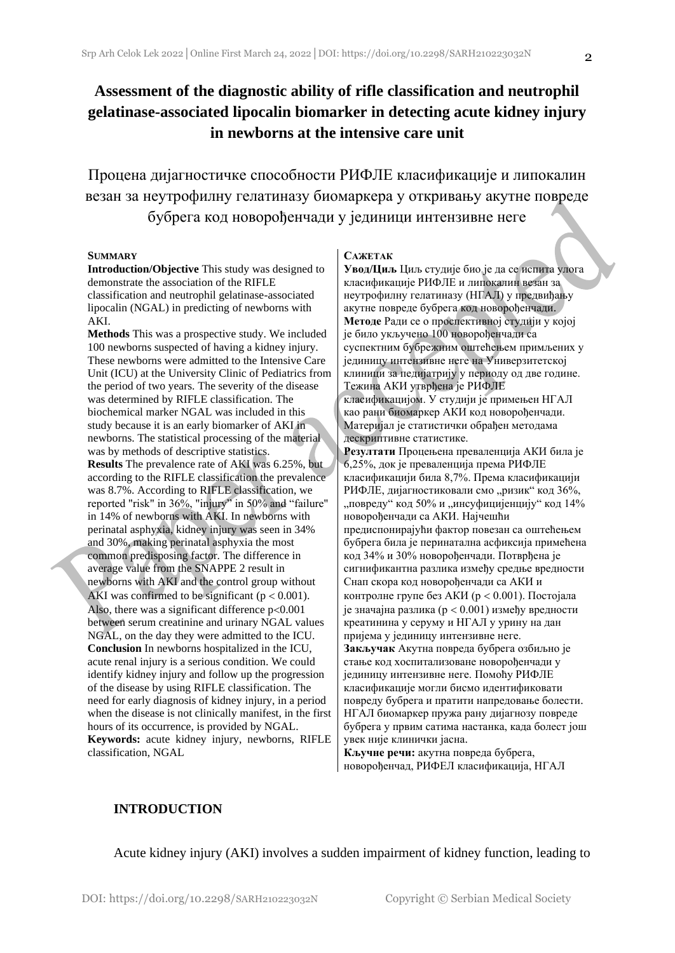## **Assessment of the diagnostic ability of rifle classification and neutrophil gelatinase-associated lipocalin biomarker in detecting acute kidney injury in newborns at the intensive care unit**

Процена дијагностичке способности РИФЛЕ класификације и липокалин везан за неутрофилну гелатиназу биомаркера у откривању акутне повреде бубрега код новорођенчади у јединици интензивне неге

#### **SUMMARY**

**Introduction/Objective** This study was designed to demonstrate the association of the RIFLE classification and neutrophil gelatinase-associated lipocalin (NGAL) in predicting of newborns with AKI.

**Methods** This was a prospective study. We included 100 newborns suspected of having a kidney injury. These newborns were admitted to the Intensive Care Unit (ICU) at the University Clinic of Pediatrics from the period of two years. The severity of the disease was determined by RIFLE classification. The biochemical marker NGAL was included in this study because it is an early biomarker of AKI in newborns. The statistical processing of the material was by methods of descriptive statistics.

**Results** The prevalence rate of AKI was 6.25%, but according to the RIFLE classification the prevalence was 8.7%. According to RIFLE classification, we reported "risk" in 36%, "injury" in 50% and "failure" in 14% of newborns with AKI. In newborns with perinatal asphyxia, kidney injury was seen in 34% and 30%, making perinatal asphyxia the most common predisposing factor. The difference in average value from the SNAPPE 2 result in newborns with AKI and the control group without AKI was confirmed to be significant ( $p < 0.001$ ). Also, there was a significant difference  $p<0.001$ between serum creatinine and urinary NGAL values NGAL, on the day they were admitted to the ICU. **Conclusion** In newborns hospitalized in the ICU, acute renal injury is a serious condition. We could identify kidney injury and follow up the progression of the disease by using RIFLE classification. The need for early diagnosis of kidney injury, in a period when the disease is not clinically manifest, in the first hours of its occurrence, is provided by NGAL. **Keywords:** acute kidney injury, newborns, RIFLE classification, NGAL

#### **САЖЕТАК**

**Увод/Циљ** Циљ студије био је да се испита улога класификације РИФЛЕ и липокалин везан за неутрофилну гелатиназу (НГАЛ) у предвиђању акутне повреде бубрега код новорођенчади. **Методе** Ради се о проспективној студији у којој је било укључено 100 новорођенчади са суспектним бубрежним оштећењем примљених у јединицу интензивне неге на Универзитетској клиници за педијатрију у периоду од две године. Тежина АКИ утврђена је РИФЛЕ класификацијом. У студији је примењен НГАЛ као рани биомаркер АКИ код новорођенчади. Материјал је статистички обрађен методама дескриптивне статистике. **Резултати** Процењена преваленција АКИ била је 6,25%, док је преваленција према РИФЛЕ класификацији била 8,7%. Према класификацији РИФЛЕ, дијагностиковали смо "ризик" код 36%, "повреду" код 50% и "инсуфицијенцију" код 14% новорођенчади са АКИ. Најчешћи предиспонирајући фактор повезан са оштећењем бубрега била је перинатална асфиксија примећена код 34% и 30% новорођенчади. Потврђена је сигнификантна разлика између средње вредности Снап скора код новорођенчади са АКИ и контролне групе без АКИ ( $p < 0.001$ ). Постојала је значајна разлика ( $p < 0.001$ ) између вредности креатинина у серуму и НГАЛ у урину на дан пријема у јединицу интензивне неге. **Закључак** Акутна повреда бубрега озбиљно је стање код хоспитализоване новорођенчади у јединицу интензивне неге. Помоћу РИФЛЕ класификације могли бисмо идентификовати повреду бубрега и пратити напредовање болести. НГАЛ биомаркер пружа рану дијагнозу повреде бубрега у првим сатима настанка, када болест још увек није клинички јасна. **Кључне речи:** акутна повреда бубрега,

новорођенчад, РИФЕЛ класификација, НГАЛ

#### **INTRODUCTION**

Acute kidney injury (AKI) involves a sudden impairment of kidney function, leading to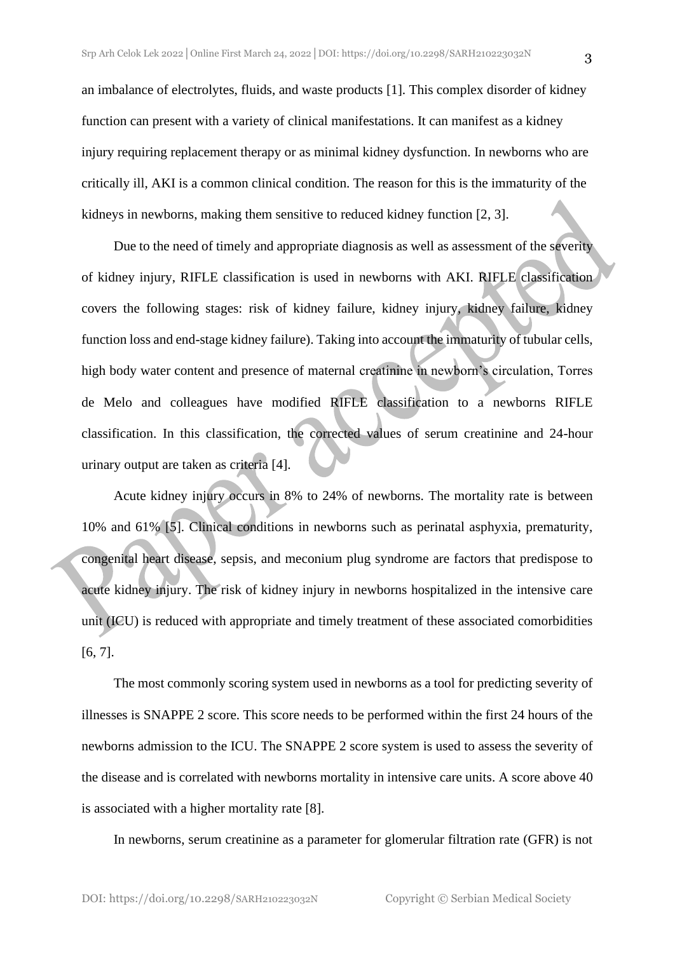an imbalance of electrolytes, fluids, and waste products [1]. This complex disorder of kidney function can present with a variety of clinical manifestations. It can manifest as a kidney injury requiring replacement therapy or as minimal kidney dysfunction. In newborns who are critically ill, AKI is a common clinical condition. The reason for this is the immaturity of the kidneys in newborns, making them sensitive to reduced kidney function [2, 3].

Due to the need of timely and appropriate diagnosis as well as assessment of the severity of kidney injury, RIFLE classification is used in newborns with AKI. RIFLE classification covers the following stages: risk of kidney failure, kidney injury, kidney failure, kidney function loss and end-stage kidney failure). Taking into account the immaturity of tubular cells, high body water content and presence of maternal creatinine in newborn's circulation, Torres de Melo and colleagues have modified RIFLE classification to a newborns RIFLE classification. In this classification, the corrected values of serum creatinine and 24-hour urinary output are taken as criteria [4].

Acute kidney injury occurs in 8% to 24% of newborns. The mortality rate is between 10% and 61% [5]. Clinical conditions in newborns such as perinatal asphyxia, prematurity, congenital heart disease, sepsis, and meconium plug syndrome are factors that predispose to acute kidney injury. The risk of kidney injury in newborns hospitalized in the intensive care unit (ICU) is reduced with appropriate and timely treatment of these associated comorbidities [6, 7].

The most commonly scoring system used in newborns as a tool for predicting severity of illnesses is SNAPPE 2 score. This score needs to be performed within the first 24 hours of the newborns admission to the ICU. The SNAPPE 2 score system is used to assess the severity of the disease and is correlated with newborns mortality in intensive care units. A score above 40 is associated with a higher mortality rate [8].

In newborns, serum creatinine as a parameter for glomerular filtration rate (GFR) is not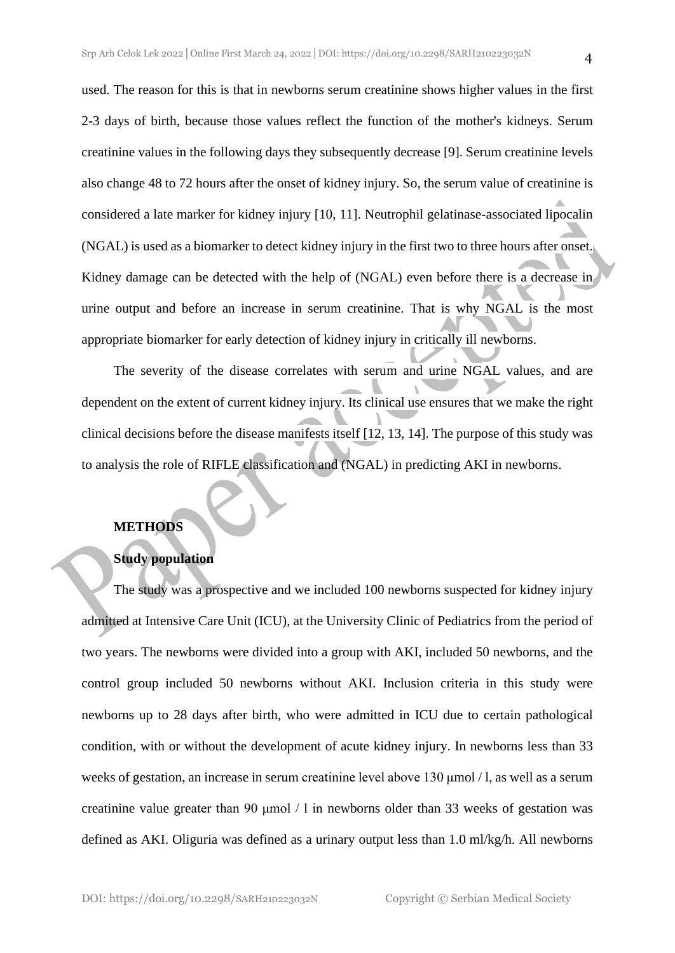used. The reason for this is that in newborns serum creatinine shows higher values in the first 2-3 days of birth, because those values reflect the function of the mother's kidneys. Serum creatinine values in the following days they subsequently decrease [9]. Serum creatinine levels also change 48 to 72 hours after the onset of kidney injury. So, the serum value of creatinine is considered a late marker for kidney injury [10, 11]. Neutrophil gelatinase-associated lipocalin (NGAL) is used as a biomarker to detect kidney injury in the first two to three hours after onset. Kidney damage can be detected with the help of (NGAL) even before there is a decrease in urine output and before an increase in serum creatinine. That is why NGAL is the most appropriate biomarker for early detection of kidney injury in critically ill newborns.

The severity of the disease correlates with serum and urine NGAL values, and are dependent on the extent of current kidney injury. Its clinical use ensures that we make the right clinical decisions before the disease manifests itself [12, 13, 14]. The purpose of this study was to analysis the role of RIFLE classification and (NGAL) in predicting AKI in newborns.

#### **METHODS**

### **Study population**

The study was a prospective and we included 100 newborns suspected for kidney injury admitted at Intensive Care Unit (ICU), at the University Clinic of Pediatrics from the period of two years. The newborns were divided into a group with AKI, included 50 newborns, and the control group included 50 newborns without AKI. Inclusion criteria in this study were newborns up to 28 days after birth, who were admitted in ICU due to certain pathological condition, with or without the development of acute kidney injury. In newborns less than 33 weeks of gestation, an increase in serum creatinine level above 130 μmol / l, as well as a serum creatinine value greater than 90 μmol / l in newborns older than 33 weeks of gestation was defined as AKI. Oliguria was defined as a urinary output less than 1.0 ml/kg/h. All newborns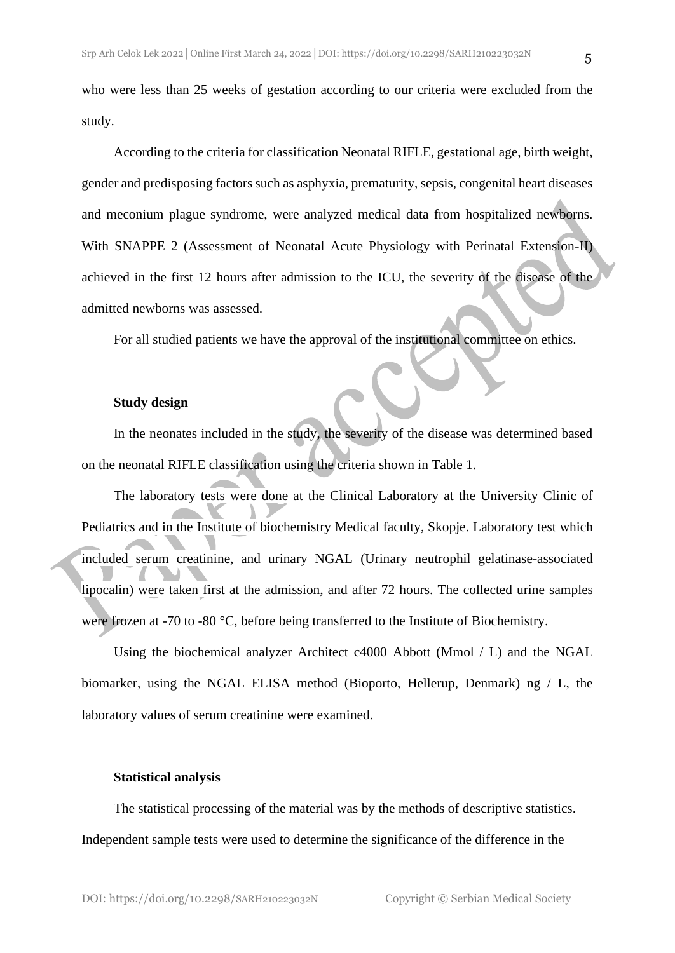who were less than 25 weeks of gestation according to our criteria were excluded from the study.

According to the criteria for classification Neonatal RIFLE, gestational age, birth weight, gender and predisposing factors such as asphyxia, prematurity, sepsis, congenital heart diseases and meconium plague syndrome, were analyzed medical data from hospitalized newborns. With SNAPPE 2 (Assessment of Neonatal Acute Physiology with Perinatal Extension-II) achieved in the first 12 hours after admission to the ICU, the severity of the disease of the admitted newborns was assessed.

For all studied patients we have the approval of the institutional committee on ethics.

#### **Study design**

In the neonates included in the study, the severity of the disease was determined based on the neonatal RIFLE classification using the criteria shown in Table 1.

The laboratory tests were done at the Clinical Laboratory at the University Clinic of Pediatrics and in the Institute of biochemistry Medical faculty, Skopje. Laboratory test which included serum creatinine, and urinary NGAL (Urinary neutrophil gelatinase-associated lipocalin) were taken first at the admission, and after 72 hours. The collected urine samples were frozen at -70 to -80 °C, before being transferred to the Institute of Biochemistry.

Using the biochemical analyzer Architect c4000 Abbott (Mmol / L) and the NGAL biomarker, using the NGAL ELISA method (Bioporto, Hellerup, Denmark) ng / L, the laboratory values of serum creatinine were examined.

#### **Statistical analysis**

The statistical processing of the material was by the methods of descriptive statistics. Independent sample tests were used to determine the significance of the difference in the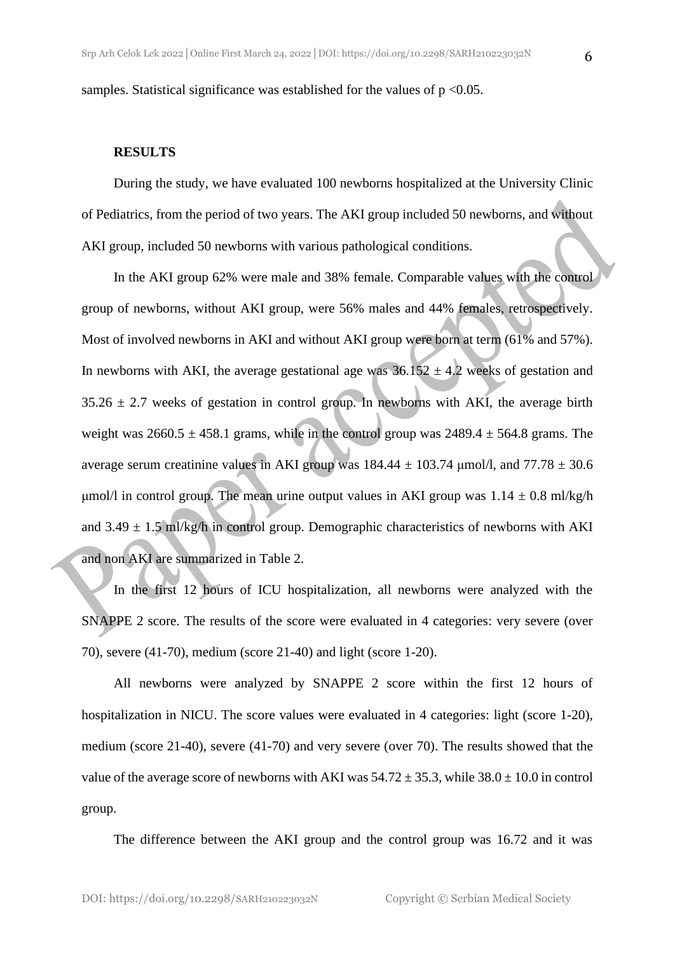samples. Statistical significance was established for the values of  $p < 0.05$ .

#### **RESULTS**

During the study, we have evaluated 100 newborns hospitalized at the University Clinic of Pediatrics, from the period of two years. The AKI group included 50 newborns, and without AKI group, included 50 newborns with various pathological conditions.

In the AKI group 62% were male and 38% female. Comparable values with the control group of newborns, without AKI group, were 56% males and 44% females, retrospectively. Most of involved newborns in AKI and without AKI group were born at term (61% and 57%). In newborns with AKI, the average gestational age was  $36.152 \pm 4.2$  weeks of gestation and  $35.26 \pm 2.7$  weeks of gestation in control group. In newborns with AKI, the average birth weight was  $2660.5 \pm 458.1$  grams, while in the control group was  $2489.4 \pm 564.8$  grams. The average serum creatinine values in AKI group was  $184.44 \pm 103.74$  µmol/l, and  $77.78 \pm 30.6$ μmol/l in control group. The mean urine output values in AKI group was  $1.14 \pm 0.8$  ml/kg/h and  $3.49 \pm 1.5$  ml/kg/h in control group. Demographic characteristics of newborns with AKI and non AKI are summarized in Table 2.

In the first 12 hours of ICU hospitalization, all newborns were analyzed with the SNAPPE 2 score. The results of the score were evaluated in 4 categories: very severe (over 70), severe (41-70), medium (score 21-40) and light (score 1-20).

All newborns were analyzed by SNAPPE 2 score within the first 12 hours of hospitalization in NICU. The score values were evaluated in 4 categories: light (score 1-20), medium (score 21-40), severe (41-70) and very severe (over 70). The results showed that the value of the average score of newborns with AKI was  $54.72 \pm 35.3$ , while  $38.0 \pm 10.0$  in control group.

The difference between the AKI group and the control group was 16.72 and it was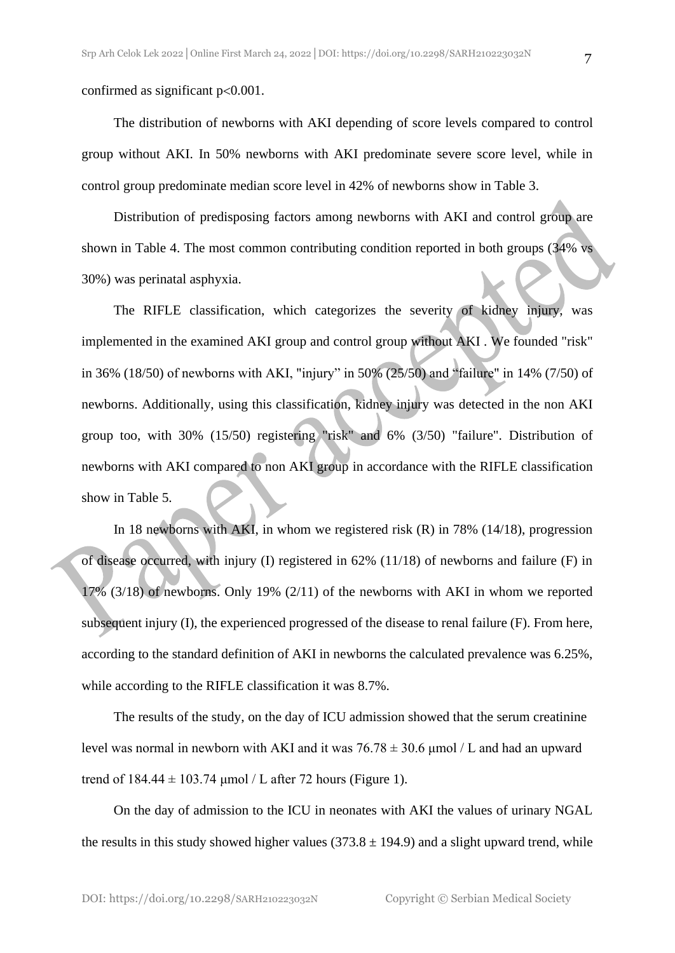confirmed as significant  $p<0.001$ .

The distribution of newborns with AKI depending of score levels compared to control group without AKI. In 50% newborns with AKI predominate severe score level, while in control group predominate median score level in 42% of newborns show in Table 3.

Distribution of predisposing factors among newborns with AKI and control group are shown in Table 4. The most common contributing condition reported in both groups (34% vs 30%) was perinatal asphyxia.

The RIFLE classification, which categorizes the severity of kidney injury, was implemented in the examined AKI group and control group without AKI . We founded "risk" in 36% (18/50) of newborns with AKI, "injury" in 50% (25/50) and "failure" in 14% (7/50) of newborns. Additionally, using this classification, kidney injury was detected in the non AKI group too, with 30% (15/50) registering "risk" and 6% (3/50) "failure". Distribution of newborns with AKI compared to non AKI group in accordance with the RIFLE classification show in Table 5.

In 18 newborns with AKI, in whom we registered risk (R) in 78% (14/18), progression of disease occurred, with injury (I) registered in 62% (11/18) of newborns and failure (F) in 17% (3/18) of newborns. Only 19% (2/11) of the newborns with AKI in whom we reported subsequent injury (I), the experienced progressed of the disease to renal failure (F). From here, according to the standard definition of AKI in newborns the calculated prevalence was 6.25%, while according to the RIFLE classification it was 8.7%.

The results of the study, on the day of ICU admission showed that the serum creatinine level was normal in newborn with AKI and it was 76.78 ± 30.6 μmol / L and had an upward trend of  $184.44 \pm 103.74$  µmol / L after 72 hours (Figure 1).

On the day of admission to the ICU in neonates with AKI the values of urinary NGAL the results in this study showed higher values  $(373.8 \pm 194.9)$  and a slight upward trend, while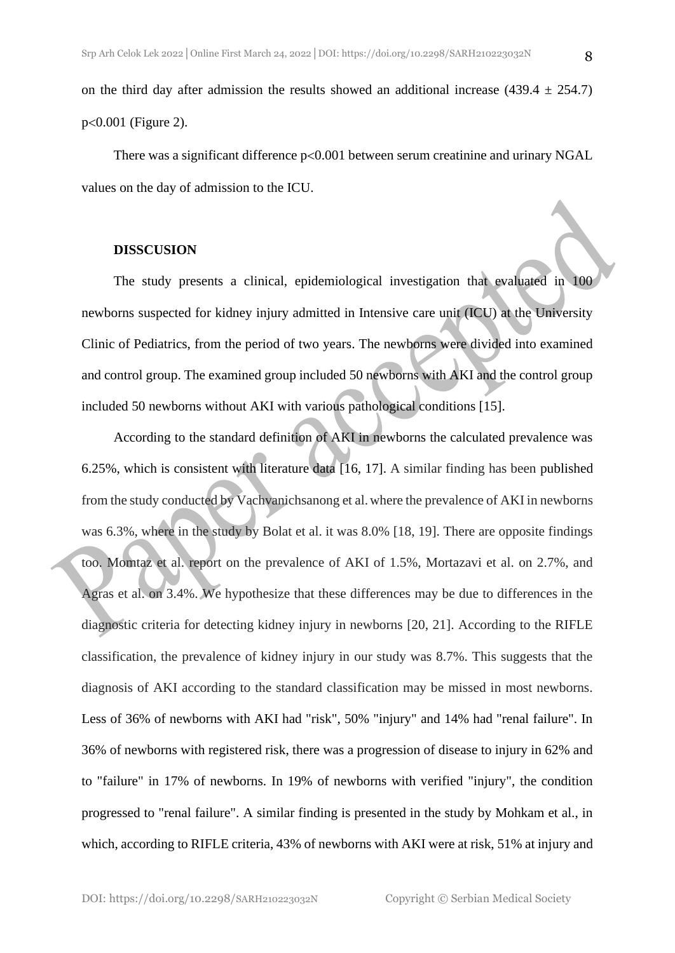on the third day after admission the results showed an additional increase (439.4  $\pm$  254.7)  $p<0.001$  (Figure 2).

There was a significant difference  $p<0.001$  between serum creatinine and urinary NGAL values on the day of admission to the ICU.

#### **DISSCUSION**

The study presents a clinical, epidemiological investigation that evaluated in 100 newborns suspected for kidney injury admitted in Intensive care unit (ICU) at the University Clinic of Pediatrics, from the period of two years. The newborns were divided into examined and control group. The examined group included 50 newborns with AKI and the control group included 50 newborns without AKI with various pathological conditions [15].

According to the standard definition of AKI in newborns the calculated prevalence was 6.25%, which is consistent with literature data [16, 17]. A similar finding has been published from the study conducted by Vachvanichsanong et al.where the prevalence of AKI in newborns was 6.3%, where in the study by Bolat et al. it was 8.0% [18, 19]. There are opposite findings too. Momtaz et al. report on the prevalence of AKI of 1.5%, Mortazavi et al. on 2.7%, and Agras et al. on 3.4%. We hypothesize that these differences may be due to differences in the diagnostic criteria for detecting kidney injury in newborns [20, 21]. According to the RIFLE classification, the prevalence of kidney injury in our study was 8.7%. This suggests that the diagnosis of AKI according to the standard classification may be missed in most newborns. Less of 36% of newborns with AKI had "risk", 50% "injury" and 14% had "renal failure". In 36% of newborns with registered risk, there was a progression of disease to injury in 62% and to "failure" in 17% of newborns. In 19% of newborns with verified "injury", the condition progressed to "renal failure". A similar finding is presented in the study by Mohkam et al., in which, according to RIFLE criteria, 43% of newborns with AKI were at risk, 51% at injury and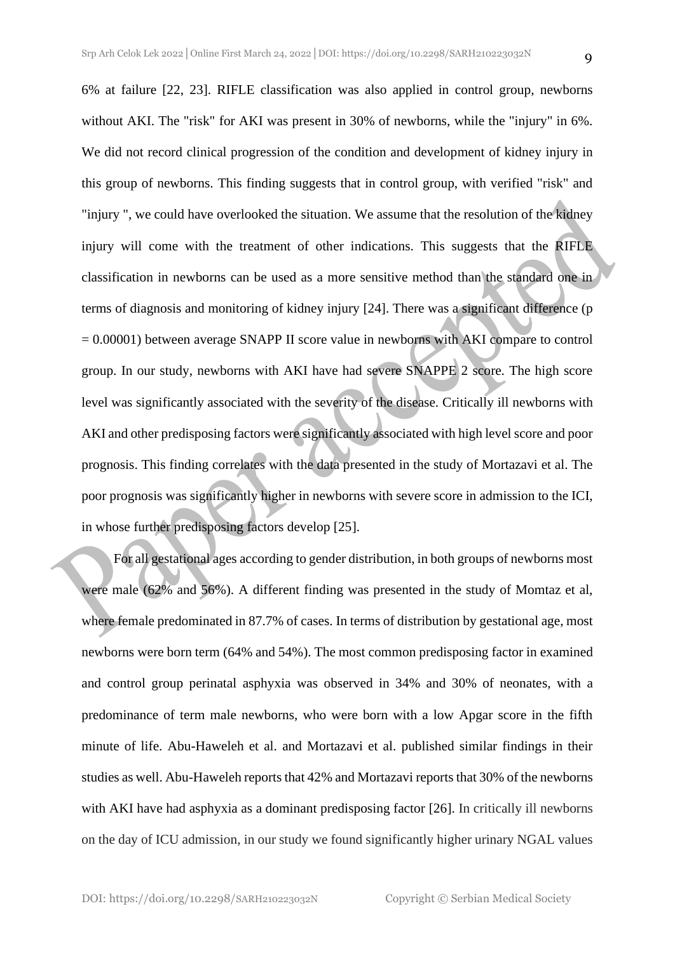6% at failure [22, 23]. RIFLE classification was also applied in control group, newborns without AKI. The "risk" for AKI was present in 30% of newborns, while the "injury" in 6%. We did not record clinical progression of the condition and development of kidney injury in this group of newborns. This finding suggests that in control group, with verified "risk" and "injury ", we could have overlooked the situation. We assume that the resolution of the kidney injury will come with the treatment of other indications. This suggests that the RIFLE classification in newborns can be used as a more sensitive method than the standard one in terms of diagnosis and monitoring of kidney injury [24]. There was a significant difference (p = 0.00001) between average SNAPP II score value in newborns with AKI compare to control group. In our study, newborns with AKI have had severe SNAPPE 2 score. The high score level was significantly associated with the severity of the disease. Critically ill newborns with AKI and other predisposing factors were significantly associated with high level score and poor prognosis. This finding correlates with the data presented in the study of Mortazavi et al. The poor prognosis was significantly higher in newborns with severe score in admission to the ICI, in whose further predisposing factors develop [25].

For all gestational ages according to gender distribution, in both groups of newborns most were male (62% and 56%). A different finding was presented in the study of Momtaz et al, where female predominated in 87.7% of cases. In terms of distribution by gestational age, most newborns were born term (64% and 54%). The most common predisposing factor in examined and control group perinatal asphyxia was observed in 34% and 30% of neonates, with a predominance of term male newborns, who were born with a low Apgar score in the fifth minute of life. Abu-Haweleh et al. and Mortazavi et al. published similar findings in their studies as well. Abu-Haweleh reports that 42% and Mortazavi reports that 30% of the newborns with AKI have had asphyxia as a dominant predisposing factor [26]. In critically ill newborns on the day of ICU admission, in our study we found significantly higher urinary NGAL values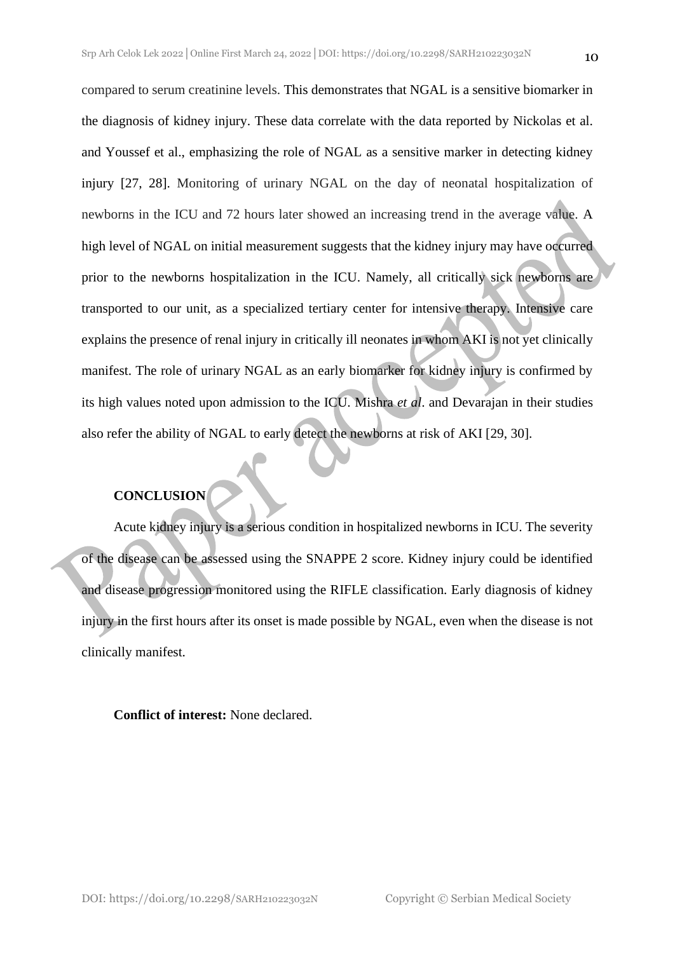compared to serum creatinine levels. This demonstrates that NGAL is a sensitive biomarker in the diagnosis of kidney injury. These data correlate with the data reported by Nickolas et al. and Youssef et al., emphasizing the role of NGAL as a sensitive marker in detecting kidney injury [27, 28]. Monitoring of urinary NGAL on the day of neonatal hospitalization of newborns in the ICU and 72 hours later showed an increasing trend in the average value. A high level of NGAL on initial measurement suggests that the kidney injury may have occurred prior to the newborns hospitalization in the ICU. Namely, all critically sick newborns are transported to our unit, as a specialized tertiary center for intensive therapy. Intensive care explains the presence of renal injury in critically ill neonates in whom AKI is not yet clinically manifest. The role of urinary NGAL as an early biomarker for kidney injury is confirmed by its high values noted upon admission to the ICU. Mishra *et al*. and Devarajan in their studies also refer the ability of NGAL to early detect the newborns at risk of AKI [29, 30].

### **CONCLUSION**

Acute kidney injury is a serious condition in hospitalized newborns in ICU. The severity of the disease can be assessed using the SNAPPE 2 score. Kidney injury could be identified and disease progression monitored using the RIFLE classification. Early diagnosis of kidney injury in the first hours after its onset is made possible by NGAL, even when the disease is not clinically manifest.

#### **Conflict of interest:** None declared.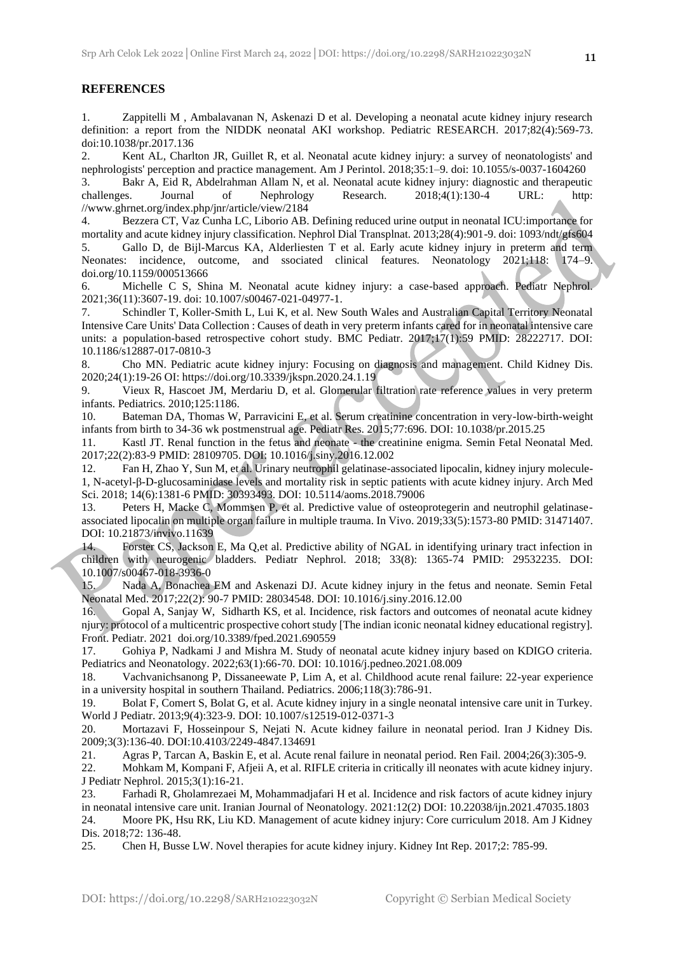#### **REFERENCES**

1. Zappitelli M , Ambalavanan N, Askenazi D et al. Developing a neonatal acute kidney injury research definition: a report from the NIDDK neonatal AKI workshop. Pediatric RESEARCH. 2017;82(4):569-73. doi:10.1038/pr.2017.136

2. Kent AL, Charlton JR, Guillet R, et al. Neonatal acute kidney injury: a survey of neonatologists' and nephrologists' perception and practice management. Am J Perintol. 2018;35:1–9. doi: 10.1055/s-0037-1604260 3. Bakr A, Eid R, Abdelrahman Allam N, et al. Neonatal acute kidney injury: diagnostic and therapeutic challenges. Journal of Nephrology Research. 2018;4(1):130-4 URL: http: //www.ghrnet.org/index.php/jnr/article/view/2184

4. Bezzera CT, Vaz Cunha LC, Liborio AB. Defining reduced urine output in neonatal ICU:importance for mortality and acute kidney injury classification. Nephrol Dial Transplnat. 2013;28(4):901-9. doi: 1093/ndt/gfs604 5. Gallo D, de Bijl-Marcus KA, Alderliesten T et al. Early acute kidney injury in preterm and term Neonates: incidence, outcome, and ssociated clinical features. Neonatology 2021;118: 174–9. doi.org/10.1159/000513666

6. Michelle C S, Shina M. Neonatal acute kidney injury: a case-based approach. Pediatr Nephrol. 2021;36(11):3607-19. doi: 10.1007/s00467-021-04977-1.

7. Schindler T, Koller-Smith L, Lui K, et al. New South Wales and Australian Capital Territory Neonatal Intensive Care Units' Data Collection : Causes of death in very preterm infants cared for in neonatal intensive care units: a population-based retrospective cohort study. BMC Pediatr. 2017;17(1):59 PMID: 28222717. DOI: 10.1186/s12887-017-0810-3

8. Cho MN. Pediatric acute kidney injury: Focusing on diagnosis and management. Child Kidney Dis. 2020;24(1):19-26 OI: https://doi.org/10.3339/jkspn.2020.24.1.19

9. Vieux R, Hascoet JM, Merdariu D, et al. Glomerular filtration rate reference values in very preterm infants. Pediatrics. 2010;125:1186.

10. Bateman DA, Thomas W, Parravicini E, et al. Serum creatinine concentration in very-low-birth-weight infants from birth to 34-36 wk postmenstrual age. Pediatr Res. 2015;77:696. DOI: 10.1038/pr.2015.25

11. Kastl JT. Renal function in the fetus and neonate - the creatinine enigma. Semin Fetal Neonatal Med. 2017;22(2):83-9 PMID: 28109705. DOI: 10.1016/j.siny.2016.12.002

12. Fan H, Zhao Y, Sun M, et al. Urinary neutrophil gelatinase-associated lipocalin, kidney injury molecule-1, N-acetyl-β-D-glucosaminidase levels and mortality risk in septic patients with acute kidney injury. Arch Med Sci. 2018; 14(6):1381-6 PMID: 30393493. DOI: 10.5114/aoms.2018.79006

13. Peters H, Macke C, Mommsen P, et al. Predictive value of osteoprotegerin and neutrophil gelatinaseassociated lipocalin on multiple organ failure in multiple trauma. In Vivo. 2019;33(5):1573-80 PMID: 31471407. DOI: 10.21873/invivo.11639

14. Forster CS, Jackson E, Ma Q,et al. Predictive ability of NGAL in identifying urinary tract infection in children with neurogenic bladders. Pediatr Nephrol. 2018; 33(8): 1365-74 PMID: 29532235. DOI: 10.1007/s00467-018-3936-0

15. Nada A, Bonachea EM and Askenazi DJ. Acute kidney injury in the fetus and neonate. Semin Fetal Neonatal Med. 2017;22(2): 90-7 PMID: 28034548. DOI: 10.1016/j.siny.2016.12.00

16. Gopal A, Sanjay W, Sidharth KS, et al. Incidence, risk factors and outcomes of neonatal acute kidney njury: protocol of a multicentric prospective cohort study [The indian iconic neonatal kidney educational registry]. Front. Pediatr. 2021 doi.org/10.3389/fped.2021.690559

17. Gohiya P, Nadkami J and Mishra M. Study of neonatal acute kidney injury based on KDIGO criteria. Pediatrics and Neonatology. 2022;63(1):66-70. DOI: 10.1016/j.pedneo.2021.08.009

18. Vachvanichsanong P, Dissaneewate P, Lim A, et al. Childhood acute renal failure: 22-year experience in a university hospital in southern Thailand. Pediatrics. 2006;118(3):786-91.

19. Bolat F, Comert S, Bolat G, et al. Acute kidney injury in a single neonatal intensive care unit in Turkey. World J Pediatr. 2013;9(4):323-9. DOI: 10.1007/s12519-012-0371-3

20. Mortazavi F, Hosseinpour S, Nejati N. Acute kidney failure in neonatal period. Iran J Kidney Dis. 2009;3(3):136-40. DOI:10.4103/2249-4847.134691

21. Agras P, Tarcan A, Baskin E, et al. Acute renal failure in neonatal period. Ren Fail. 2004;26(3):305-9.

22. Mohkam M, Kompani F, Afjeii A, et al. RIFLE criteria in critically ill neonates with acute kidney injury. J Pediatr Nephrol. 2015;3(1):16-21.

23. Farhadi R, Gholamrezaei M, Mohammadjafari H et al. Incidence and risk factors of acute kidney injury in neonatal intensive care unit. Iranian Journal of Neonatology. 2021:12(2) DOI: 10.22038/ijn.2021.47035.1803 24. Moore PK, Hsu RK, Liu KD. Management of acute kidney injury: Core curriculum 2018. Am J Kidney Dis. 2018;72: 136-48.

25. Chen H, Busse LW. Novel therapies for acute kidney injury. Kidney Int Rep. 2017;2: 785-99.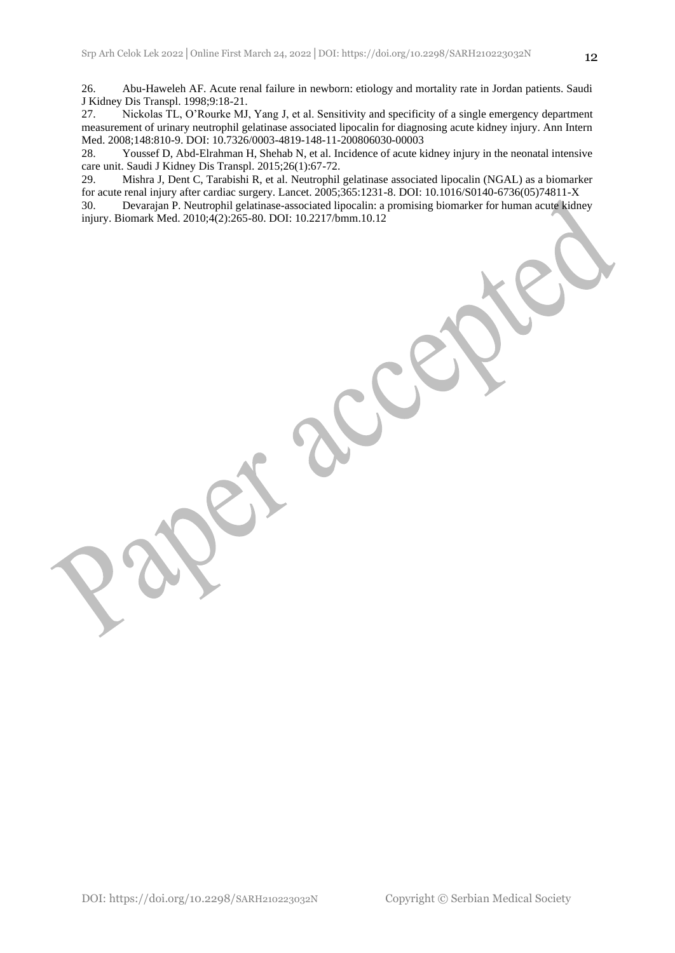27. Nickolas TL, O'Rourke MJ, Yang J, et al. Sensitivity and specificity of a single emergency department measurement of urinary neutrophil gelatinase associated lipocalin for diagnosing acute kidney injury. Ann Intern Med. 2008;148:810-9. DOI: 10.7326/0003-4819-148-11-200806030-00003

28. Youssef D, Abd-Elrahman H, Shehab N, et al. Incidence of acute kidney injury in the neonatal intensive care unit. Saudi J Kidney Dis Transpl. 2015;26(1):67-72.

29. Mishra J, Dent C, Tarabishi R, et al. Neutrophil gelatinase associated lipocalin (NGAL) as a biomarker for acute renal injury after cardiac surgery. Lancet. 2005;365:1231-8. DOI: 10.1016/S0140-6736(05)74811-X

30. Devarajan P. Neutrophil gelatinase-associated lipocalin: a promising biomarker for human acute kidney injury. Biomark Med. 2010;4(2):265-80. DOI: 10.2217/bmm.10.12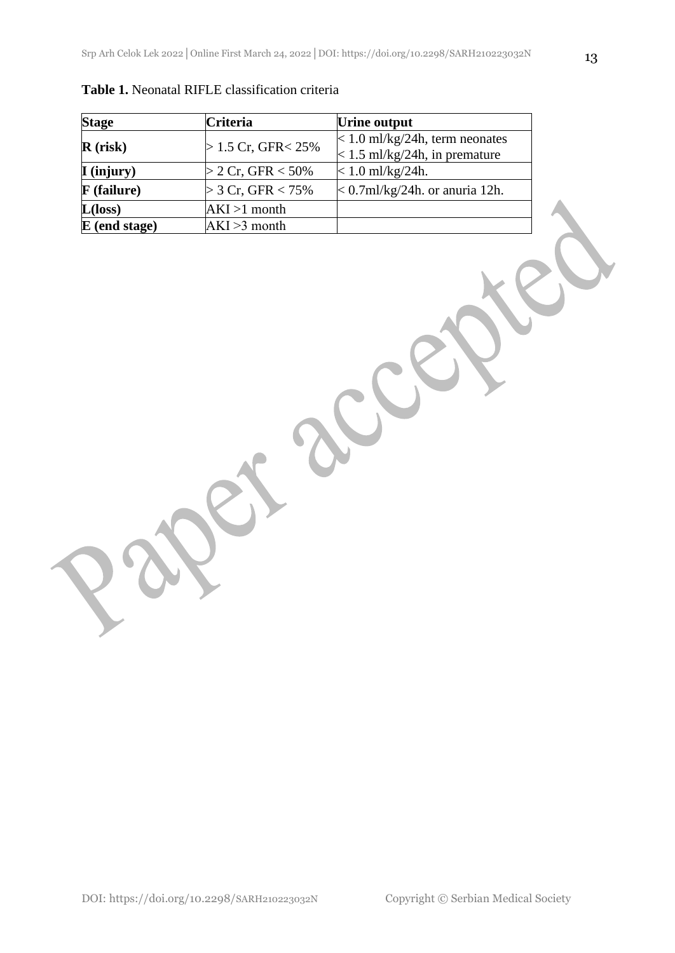| <b>Stage</b>          | <b>Criteria</b>       | Urine output                           |
|-----------------------|-----------------------|----------------------------------------|
| $R$ (risk)            | $> 1.5$ Cr, GFR < 25% | $\approx$ 1.0 ml/kg/24h, term neonates |
|                       |                       | $\leq$ 1.5 ml/kg/24h, in premature     |
| $\mathbf{I}$ (injury) | $>$ 2 Cr, GFR $<$ 50% | $< 1.0$ ml/kg/24h.                     |
| <b>F</b> (failure)    | $>$ 3 Cr, GFR $<$ 75% | $< 0.7$ ml/kg/24h. or anuria 12h.      |
| $L(\text{loss})$      | $AKI >1$ month        |                                        |
| $E$ (end stage)       | $AKI > 3$ month       |                                        |

| <b>Table 1.</b> Neonatal RIFLE classification criteria |  |
|--------------------------------------------------------|--|
|--------------------------------------------------------|--|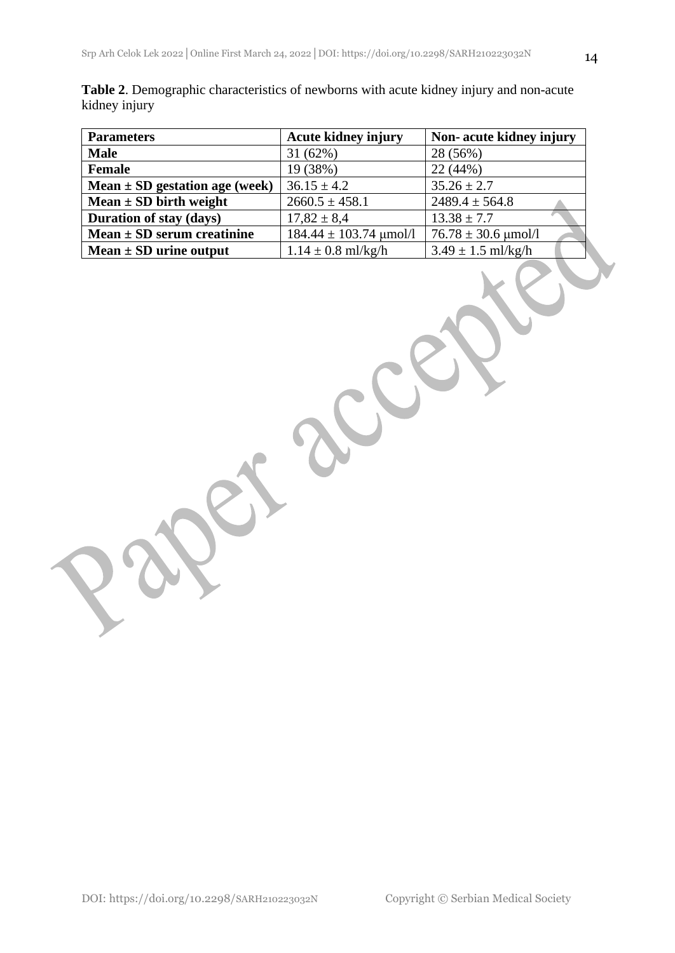|               | Table 2. Demographic characteristics of newborns with acute kidney injury and non-acute |  |  |  |
|---------------|-----------------------------------------------------------------------------------------|--|--|--|
| kidney injury |                                                                                         |  |  |  |

| <b>Parameters</b>                  | <b>Acute kidney injury</b> | Non-acute kidney injury             |
|------------------------------------|----------------------------|-------------------------------------|
| <b>Male</b>                        | 31(62%)                    | 28 (56%)                            |
| <b>Female</b>                      | 19 (38%)                   | 22(44%)                             |
| Mean $\pm$ SD gestation age (week) | $36.15 \pm 4.2$            | $35.26 \pm 2.7$                     |
| Mean $\pm$ SD birth weight         | $2660.5 \pm 458.1$         | $2489.4 \pm 564.8$                  |
| Duration of stay (days)            | $17,82 \pm 8,4$            | $13.38 \pm 7.7$                     |
| Mean $\pm$ SD serum creatinine     | $184.44 \pm 103.74$ µmol/l | $76.78 \pm 30.6 \,\text{\mu}$ mol/l |
| Mean $\pm$ SD urine output         | $1.14 \pm 0.8$ ml/kg/h     | $3.49 \pm 1.5$ ml/kg/h              |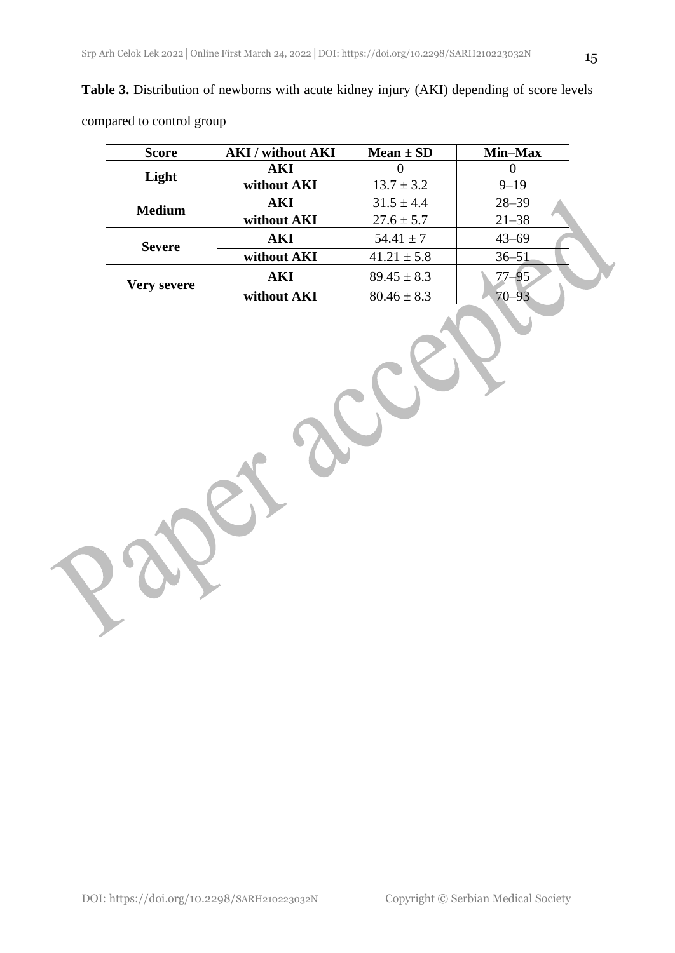| compared to control group |                                                                                                                                                                                                                                                                                                                                                                                                               |                |           |
|---------------------------|---------------------------------------------------------------------------------------------------------------------------------------------------------------------------------------------------------------------------------------------------------------------------------------------------------------------------------------------------------------------------------------------------------------|----------------|-----------|
| <b>Score</b>              | <b>AKI</b> / without <b>AKI</b>                                                                                                                                                                                                                                                                                                                                                                               | $Mean \pm SD$  | Min–Max   |
|                           | AКI                                                                                                                                                                                                                                                                                                                                                                                                           |                |           |
| Light                     | without AKI                                                                                                                                                                                                                                                                                                                                                                                                   | $13.7 \pm 3.2$ | $9 - 19$  |
|                           | AKI                                                                                                                                                                                                                                                                                                                                                                                                           | $31.5 \pm 4.4$ | $28 - 39$ |
| <b>Medium</b>             | $\bullet$ . $\bullet$<br>$\overline{1}$ $\overline{1}$ $\overline{1}$ $\overline{1}$ $\overline{1}$ $\overline{1}$ $\overline{1}$ $\overline{1}$ $\overline{1}$ $\overline{1}$ $\overline{1}$ $\overline{1}$ $\overline{1}$ $\overline{1}$ $\overline{1}$ $\overline{1}$ $\overline{1}$ $\overline{1}$ $\overline{1}$ $\overline{1}$ $\overline{1}$ $\overline{1}$ $\overline{1}$ $\overline{1}$ $\overline{$ | 27.57          | 21.20     |

**Severe AKI** 54.41 ± 7 43–69

**Very severe AKI** 89.45  $\pm$  8.3 77–95<br>without AKI 80.46  $\pm$  8.3 70–93

without **AKI** 

**without AKI**  $27.6 \pm 5.7$  21–38

**without AKI**  $41.21 \pm 5.8$   $36-51$ 

**Table 3.** Distribution of newborns with acute kidney injury (AKI) depending of score levels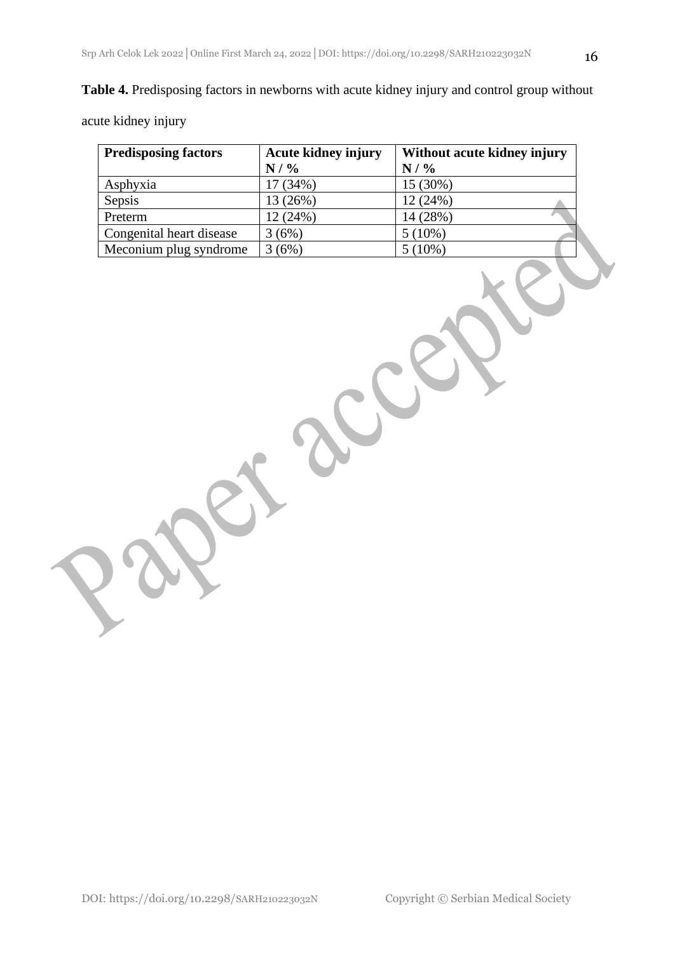### **Table 4.** Predisposing factors in newborns with acute kidney injury and control group without

acute kidney injury

| <b>Predisposing factors</b> | <b>Acute kidney injury</b> | Without acute kidney injury |
|-----------------------------|----------------------------|-----------------------------|
|                             | N / %                      | $N/$ %                      |
| Asphyxia                    | 17 (34%)                   | 15 (30%)                    |
| Sepsis                      | 13 (26%)                   | 12(24%)                     |
| Preterm                     | 12 (24%)                   | 14 (28%)                    |
| Congenital heart disease    | 3(6%)                      | $5(10\%)$                   |
| Meconium plug syndrome      | 3(6%)                      | $5(10\%)$                   |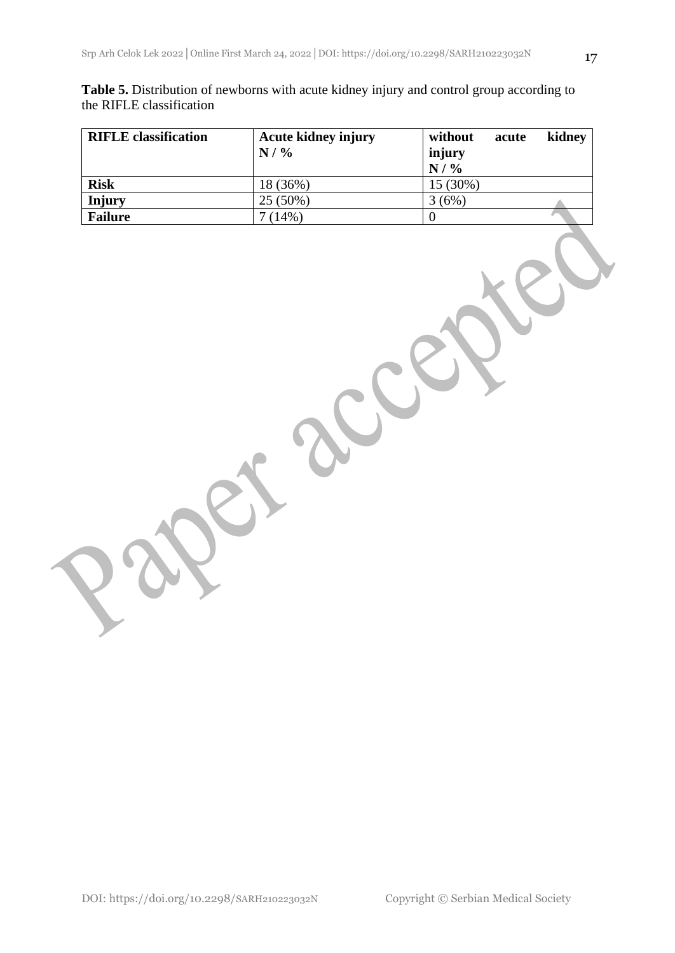| Table 5. Distribution of newborns with acute kidney injury and control group according to |  |  |  |
|-------------------------------------------------------------------------------------------|--|--|--|
| the RIFLE classification                                                                  |  |  |  |

| <b>RIFLE</b> classification | <b>Acute kidney injury</b><br>$N/$ % | without<br>acute<br>injury<br>$N/$ % | kidney |
|-----------------------------|--------------------------------------|--------------------------------------|--------|
| <b>Risk</b>                 | 18 (36%)                             | 15 (30%)                             |        |
| Injury                      | 25 (50%)                             | 3(6%)                                |        |
| <b>Failure</b>              | 7(14%)                               |                                      |        |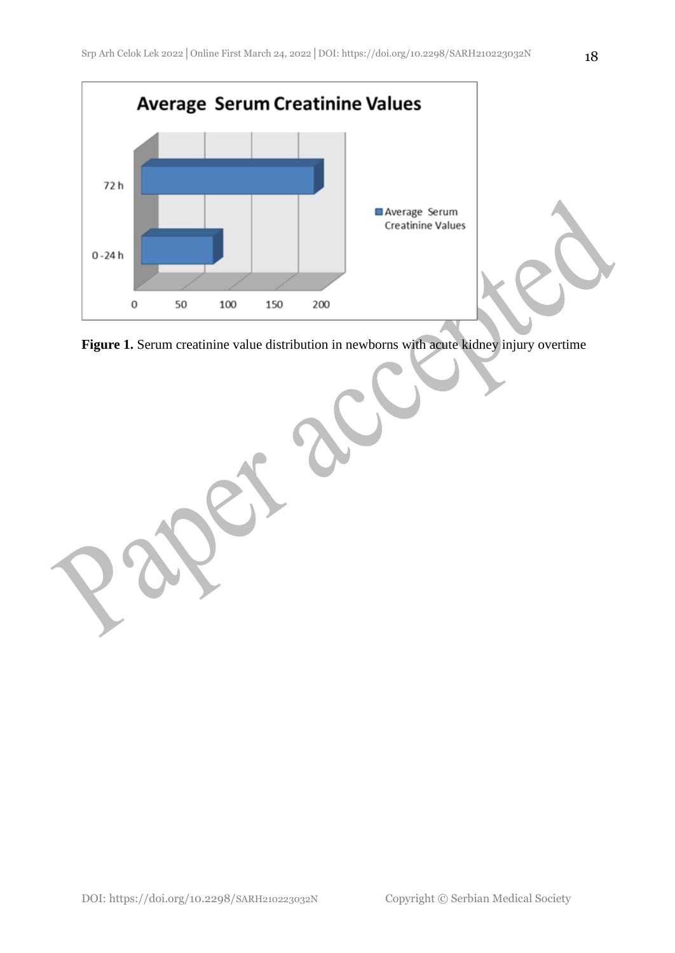